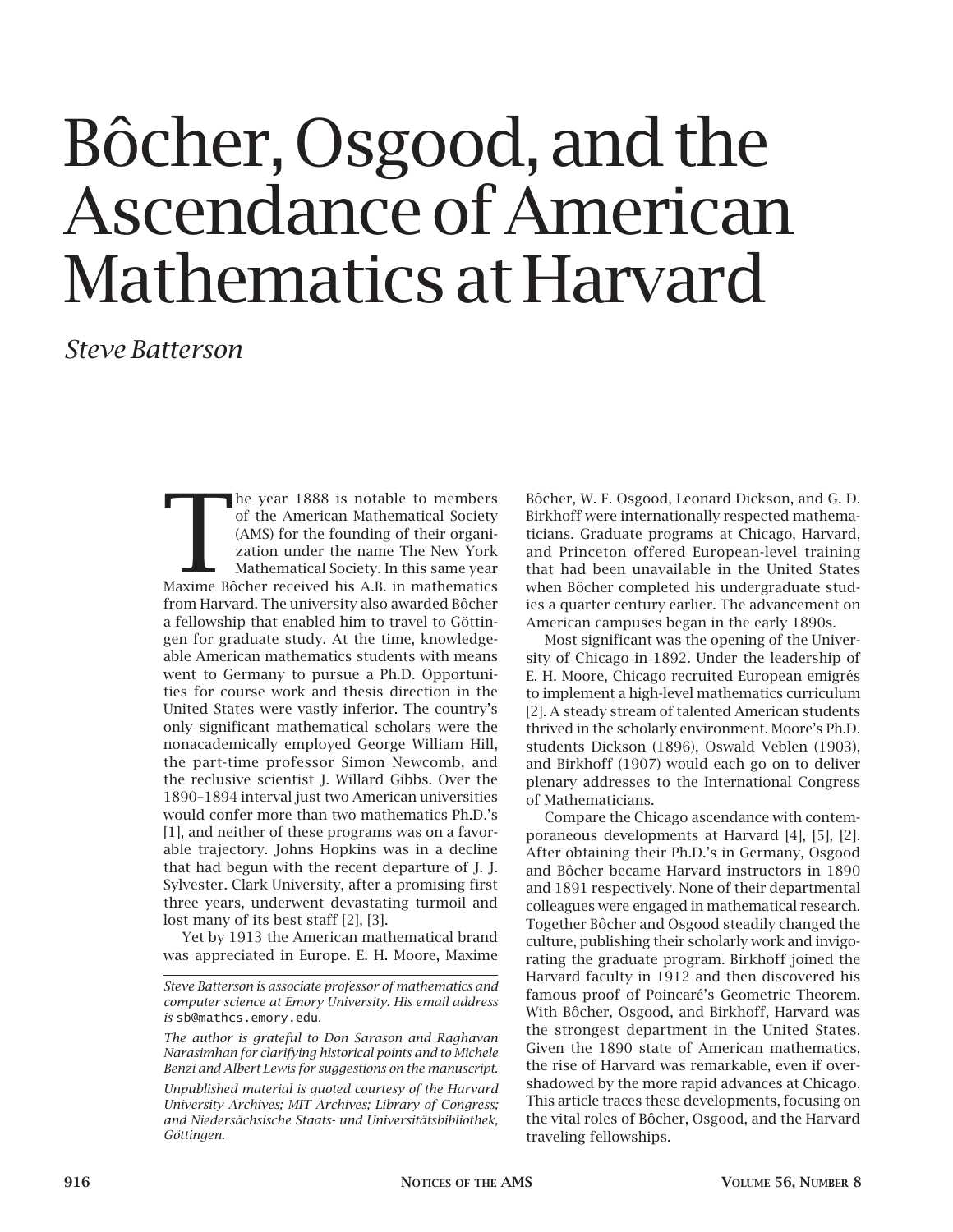# Bôcher, Osgood, and the Ascendance of American Mathematics at Harvard

## *Steve Batterson*

The year 1888 is notable to members<br>
of the American Mathematical Society<br>
(AMS) for the founding of their organization under the name The New York<br>
Mathematical Society. In this same year<br>
Maxime Bôcher received his A.B. of the American Mathematical Society (AMS) for the founding of their organization under the name The New York Mathematical Society. In this same year from Harvard. The university also awarded Bôcher a fellowship that enabled him to travel to Göttingen for graduate study. At the time, knowledgeable American mathematics students with means went to Germany to pursue a Ph.D. Opportunities for course work and thesis direction in the United States were vastly inferior. The country's only significant mathematical scholars were the nonacademically employed George William Hill, the part-time professor Simon Newcomb, and the reclusive scientist J. Willard Gibbs. Over the 1890–1894 interval just two American universities would confer more than two mathematics Ph.D.'s [1], and neither of these programs was on a favorable trajectory. Johns Hopkins was in a decline that had begun with the recent departure of J. J. Sylvester. Clark University, after a promising first three years, underwent devastating turmoil and lost many of its best staff [2], [3].

Yet by 1913 the American mathematical brand was appreciated in Europe. E. H. Moore, Maxime Bôcher, W. F. Osgood, Leonard Dickson, and G. D. Birkhoff were internationally respected mathematicians. Graduate programs at Chicago, Harvard, and Princeton offered European-level training that had been unavailable in the United States when Bôcher completed his undergraduate studies a quarter century earlier. The advancement on American campuses began in the early 1890s.

Most significant was the opening of the University of Chicago in 1892. Under the leadership of E. H. Moore, Chicago recruited European emigrés to implement a high-level mathematics curriculum [2]. A steady stream of talented American students thrived in the scholarly environment. Moore's Ph.D. students Dickson (1896), Oswald Veblen (1903), and Birkhoff (1907) would each go on to deliver plenary addresses to the International Congress of Mathematicians.

Compare the Chicago ascendance with contemporaneous developments at Harvard [4], [5], [2]. After obtaining their Ph.D.'s in Germany, Osgood and Bôcher became Harvard instructors in 1890 and 1891 respectively. None of their departmental colleagues were engaged in mathematical research. Together Bôcher and Osgood steadily changed the culture, publishing their scholarly work and invigorating the graduate program. Birkhoff joined the Harvard faculty in 1912 and then discovered his famous proof of Poincaré's Geometric Theorem. With Bôcher, Osgood, and Birkhoff, Harvard was the strongest department in the United States. Given the 1890 state of American mathematics, the rise of Harvard was remarkable, even if overshadowed by the more rapid advances at Chicago. This article traces these developments, focusing on the vital roles of Bôcher, Osgood, and the Harvard traveling fellowships.

*Steve Batterson is associate professor of mathematics and computer science at Emory University. His email address is* sb@mathcs.emory.edu*.*

*The author is grateful to Don Sarason and Raghavan Narasimhan for clarifying historical points and to Michele Benzi and Albert Lewis for suggestions on the manuscript.*

*Unpublished material is quoted courtesy of the Harvard University Archives; MIT Archives; Library of Congress; and Niedersächsische Staats- und Universitätsbibliothek, Göttingen.*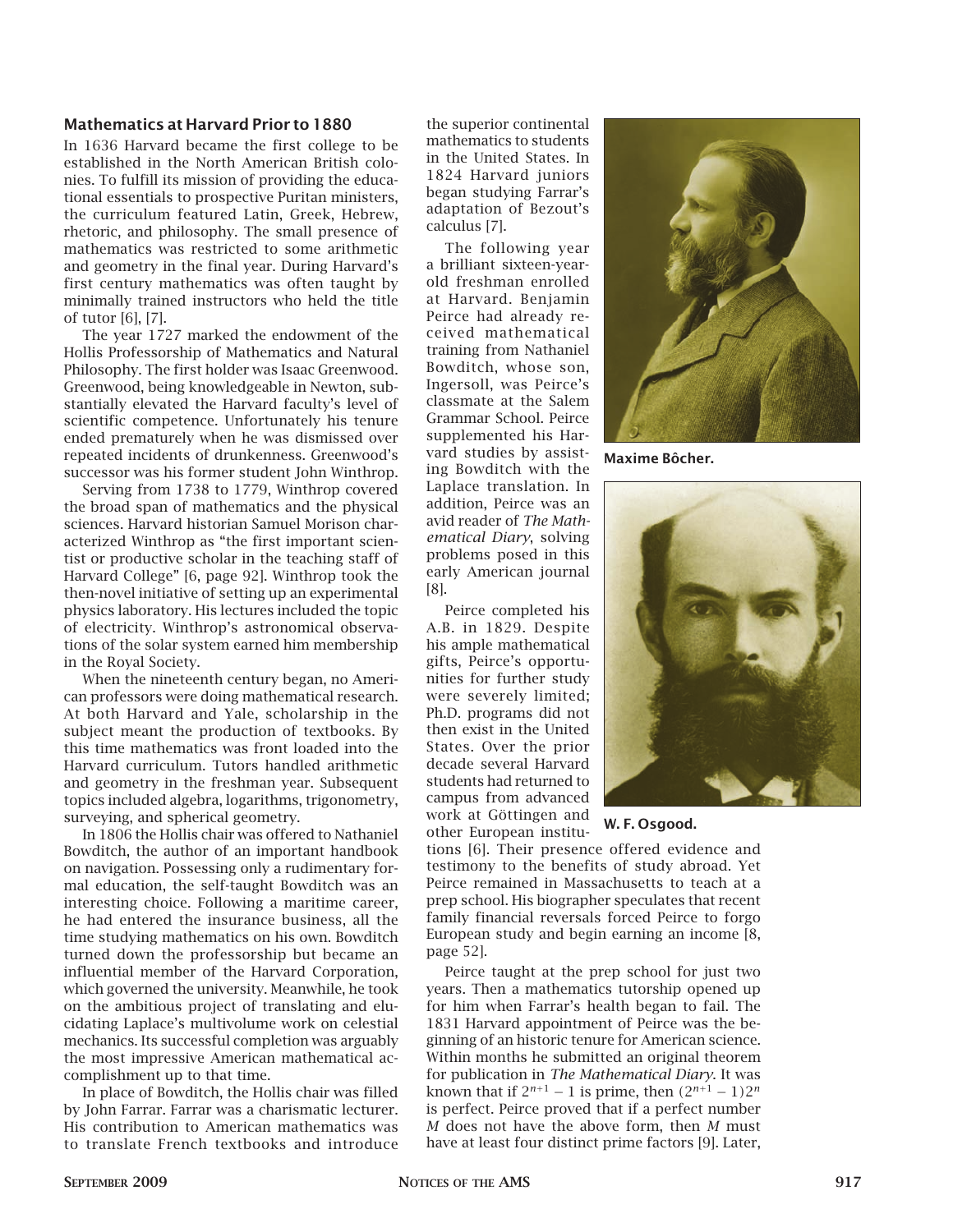#### **Mathematics at Harvard Prior to 1880**

In 1636 Harvard became the first college to be established in the North American British colonies. To fulfill its mission of providing the educational essentials to prospective Puritan ministers, the curriculum featured Latin, Greek, Hebrew, rhetoric, and philosophy. The small presence of mathematics was restricted to some arithmetic and geometry in the final year. During Harvard's first century mathematics was often taught by minimally trained instructors who held the title of tutor [6], [7].

The year 1727 marked the endowment of the Hollis Professorship of Mathematics and Natural Philosophy. The first holder was Isaac Greenwood. Greenwood, being knowledgeable in Newton, substantially elevated the Harvard faculty's level of scientific competence. Unfortunately his tenure ended prematurely when he was dismissed over repeated incidents of drunkenness. Greenwood's successor was his former student John Winthrop.

Serving from 1738 to 1779, Winthrop covered the broad span of mathematics and the physical sciences. Harvard historian Samuel Morison characterized Winthrop as "the first important scientist or productive scholar in the teaching staff of Harvard College" [6, page 92]. Winthrop took the then-novel initiative of setting up an experimental physics laboratory. His lectures included the topic of electricity. Winthrop's astronomical observations of the solar system earned him membership in the Royal Society.

When the nineteenth century began, no American professors were doing mathematical research. At both Harvard and Yale, scholarship in the subject meant the production of textbooks. By this time mathematics was front loaded into the Harvard curriculum. Tutors handled arithmetic and geometry in the freshman year. Subsequent topics included algebra, logarithms, trigonometry, surveying, and spherical geometry.

In 1806 the Hollis chair was offered to Nathaniel Bowditch, the author of an important handbook on navigation. Possessing only a rudimentary formal education, the self-taught Bowditch was an interesting choice. Following a maritime career, he had entered the insurance business, all the time studying mathematics on his own. Bowditch turned down the professorship but became an influential member of the Harvard Corporation, which governed the university. Meanwhile, he took on the ambitious project of translating and elucidating Laplace's multivolume work on celestial mechanics. Its successful completion was arguably the most impressive American mathematical accomplishment up to that time.

In place of Bowditch, the Hollis chair was filled by John Farrar. Farrar was a charismatic lecturer. His contribution to American mathematics was to translate French textbooks and introduce the superior continental mathematics to students in the United States. In 1824 Harvard juniors began studying Farrar's adaptation of Bezout's calculus [7].

The following year a brilliant sixteen-yearold freshman enrolled at Harvard. Benjamin Peirce had already received mathematical training from Nathaniel Bowditch, whose son, Ingersoll, was Peirce's classmate at the Salem Grammar School. Peirce supplemented his Harvard studies by assisting Bowditch with the Laplace translation. In addition, Peirce was an avid reader of *The Mathematical Diary*, solving problems posed in this early American journal [8].

Peirce completed his A.B. in 1829. Despite his ample mathematical gifts, Peirce's opportunities for further study were severely limited; Ph.D. programs did not then exist in the United States. Over the prior decade several Harvard students had returned to campus from advanced work at Göttingen and other European institu-

tions [6]. Their presence offered evidence and testimony to the benefits of study abroad. Yet Peirce remained in Massachusetts to teach at a prep school. His biographer speculates that recent family financial reversals forced Peirce to forgo European study and begin earning an income [8, page 52].

Peirce taught at the prep school for just two years. Then a mathematics tutorship opened up for him when Farrar's health began to fail. The 1831 Harvard appointment of Peirce was the beginning of an historic tenure for American science. Within months he submitted an original theorem for publication in *The Mathematical Diary*. It was known that if  $2^{n+1} - 1$  is prime, then  $(2^{n+1} - 1)2^n$ is perfect. Peirce proved that if a perfect number *M* does not have the above form, then *M* must have at least four distinct prime factors [9]. Later,



**Maxime Bôcher.**



**W. F. Osgood.**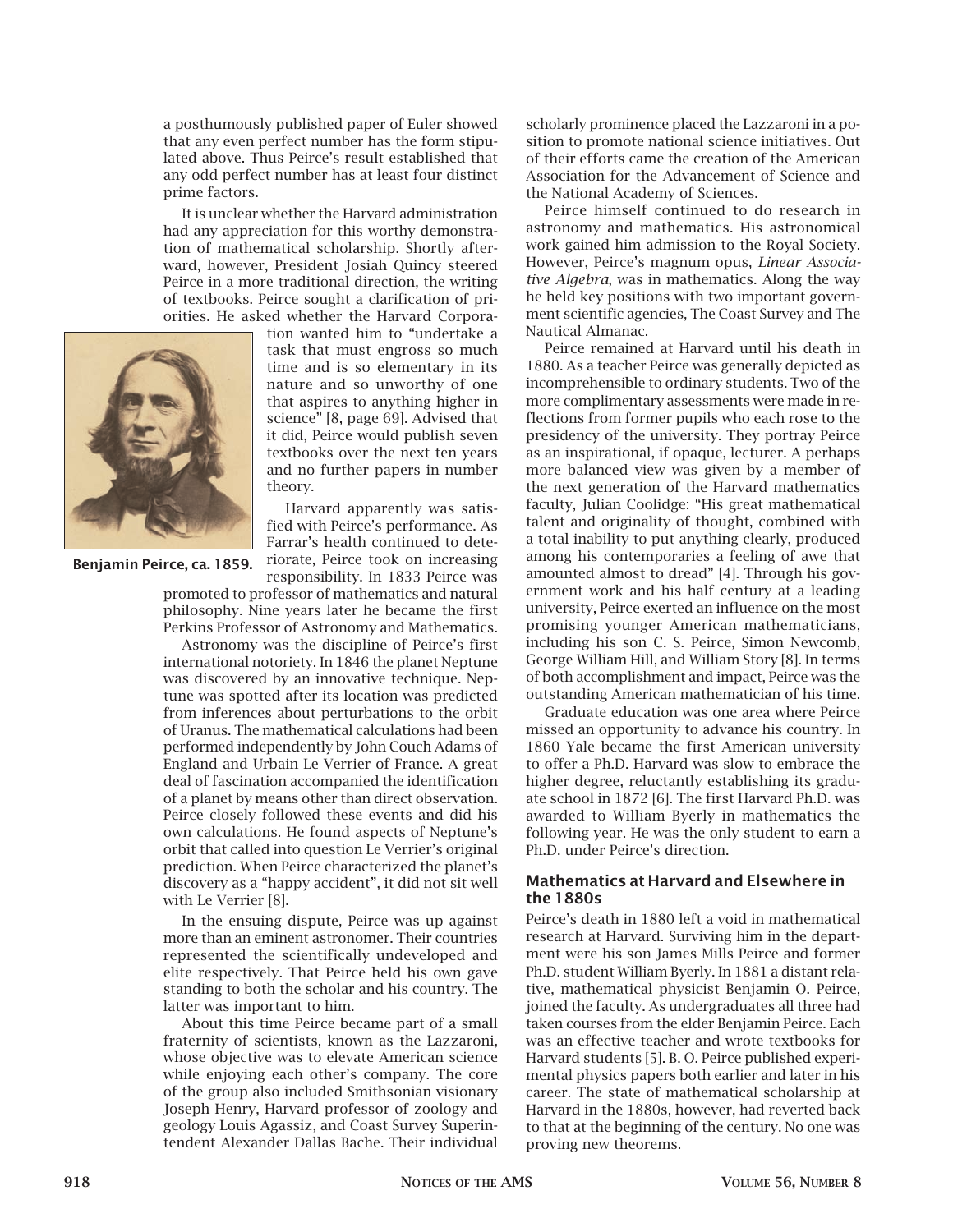a posthumously published paper of Euler showed that any even perfect number has the form stipulated above. Thus Peirce's result established that any odd perfect number has at least four distinct prime factors.

It is unclear whether the Harvard administration had any appreciation for this worthy demonstration of mathematical scholarship. Shortly afterward, however, President Josiah Quincy steered Peirce in a more traditional direction, the writing of textbooks. Peirce sought a clarification of priorities. He asked whether the Harvard Corpora-



tion wanted him to "undertake a task that must engross so much time and is so elementary in its nature and so unworthy of one that aspires to anything higher in science" [8, page 69]. Advised that it did, Peirce would publish seven textbooks over the next ten years and no further papers in number theory.

Harvard apparently was satisfied with Peirce's performance. As Farrar's health continued to deteriorate, Peirce took on increasing responsibility. In 1833 Peirce was

promoted to professor of mathematics and natural philosophy. Nine years later he became the first Perkins Professor of Astronomy and Mathematics.

Astronomy was the discipline of Peirce's first international notoriety. In 1846 the planet Neptune was discovered by an innovative technique. Neptune was spotted after its location was predicted from inferences about perturbations to the orbit of Uranus. The mathematical calculations had been performed independently by John Couch Adams of England and Urbain Le Verrier of France. A great deal of fascination accompanied the identification of a planet by means other than direct observation. Peirce closely followed these events and did his own calculations. He found aspects of Neptune's orbit that called into question Le Verrier's original prediction. When Peirce characterized the planet's discovery as a "happy accident", it did not sit well with Le Verrier [8].

In the ensuing dispute, Peirce was up against more than an eminent astronomer. Their countries represented the scientifically undeveloped and elite respectively. That Peirce held his own gave standing to both the scholar and his country. The latter was important to him.

About this time Peirce became part of a small fraternity of scientists, known as the Lazzaroni, whose objective was to elevate American science while enjoying each other's company. The core of the group also included Smithsonian visionary Joseph Henry, Harvard professor of zoology and geology Louis Agassiz, and Coast Survey Superintendent Alexander Dallas Bache. Their individual

scholarly prominence placed the Lazzaroni in a position to promote national science initiatives. Out of their efforts came the creation of the American Association for the Advancement of Science and the National Academy of Sciences.

Peirce himself continued to do research in astronomy and mathematics. His astronomical work gained him admission to the Royal Society. However, Peirce's magnum opus, *Linear Associative Algebra*, was in mathematics. Along the way he held key positions with two important government scientific agencies, The Coast Survey and The Nautical Almanac.

Peirce remained at Harvard until his death in 1880. As a teacher Peirce was generally depicted as incomprehensible to ordinary students. Two of the more complimentary assessments were made in reflections from former pupils who each rose to the presidency of the university. They portray Peirce as an inspirational, if opaque, lecturer. A perhaps more balanced view was given by a member of the next generation of the Harvard mathematics faculty, Julian Coolidge: "His great mathematical talent and originality of thought, combined with a total inability to put anything clearly, produced among his contemporaries a feeling of awe that amounted almost to dread" [4]. Through his government work and his half century at a leading university, Peirce exerted an influence on the most promising younger American mathematicians, including his son C. S. Peirce, Simon Newcomb, George William Hill, and William Story [8]. In terms of both accomplishment and impact, Peirce was the outstanding American mathematician of his time.

Graduate education was one area where Peirce missed an opportunity to advance his country. In 1860 Yale became the first American university to offer a Ph.D. Harvard was slow to embrace the higher degree, reluctantly establishing its graduate school in 1872 [6]. The first Harvard Ph.D. was awarded to William Byerly in mathematics the following year. He was the only student to earn a Ph.D. under Peirce's direction.

#### **Mathematics at Harvard and Elsewhere in the 1880s**

Peirce's death in 1880 left a void in mathematical research at Harvard. Surviving him in the department were his son James Mills Peirce and former Ph.D. student William Byerly. In 1881 a distant relative, mathematical physicist Benjamin O. Peirce, joined the faculty. As undergraduates all three had taken courses from the elder Benjamin Peirce. Each was an effective teacher and wrote textbooks for Harvard students [5]. B. O. Peirce published experimental physics papers both earlier and later in his career. The state of mathematical scholarship at Harvard in the 1880s, however, had reverted back to that at the beginning of the century. No one was proving new theorems.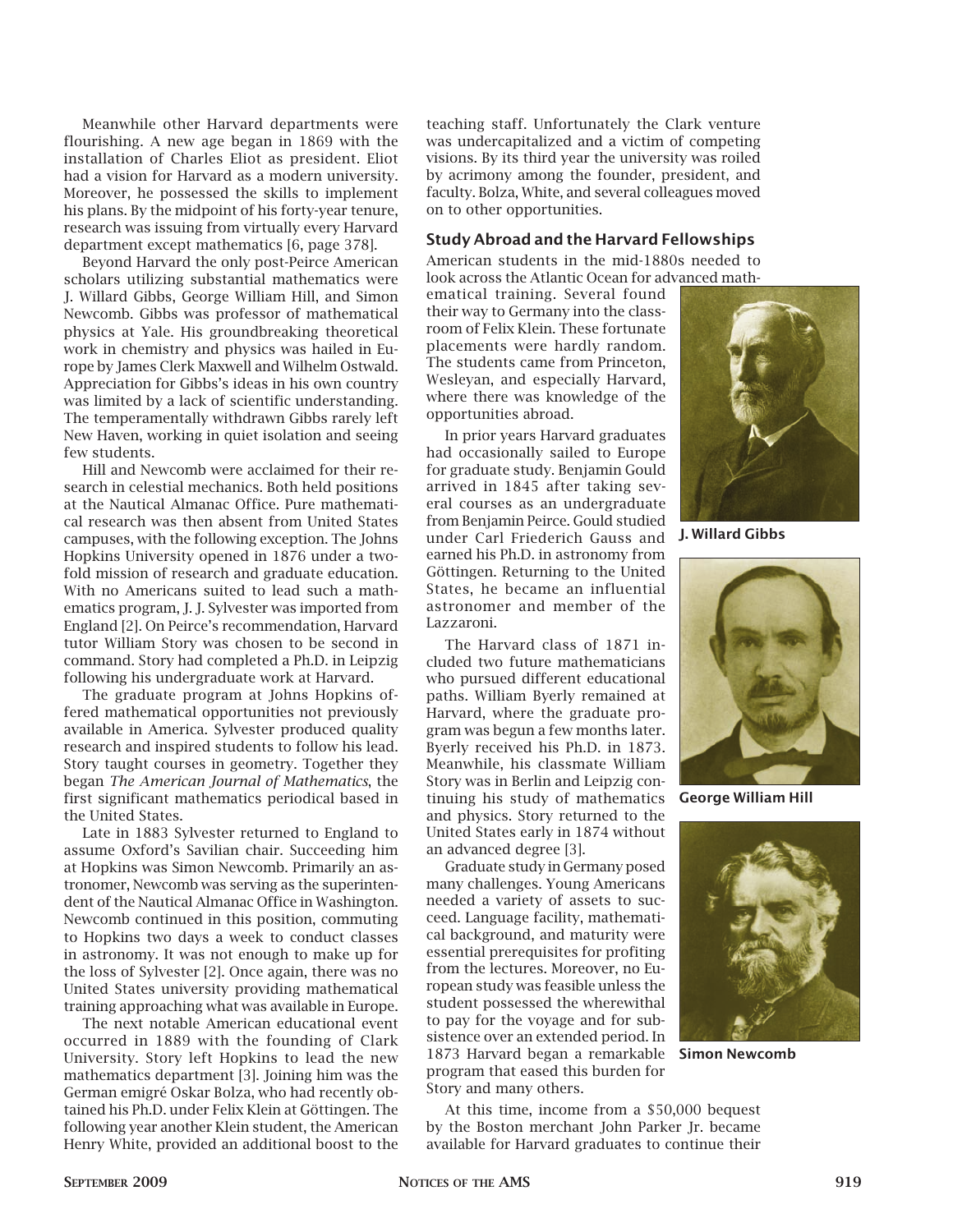Meanwhile other Harvard departments were flourishing. A new age began in 1869 with the installation of Charles Eliot as president. Eliot had a vision for Harvard as a modern university. Moreover, he possessed the skills to implement his plans. By the midpoint of his forty-year tenure, research was issuing from virtually every Harvard department except mathematics [6, page 378].

Beyond Harvard the only post-Peirce American scholars utilizing substantial mathematics were J. Willard Gibbs, George William Hill, and Simon Newcomb. Gibbs was professor of mathematical physics at Yale. His groundbreaking theoretical work in chemistry and physics was hailed in Europe by James Clerk Maxwell and Wilhelm Ostwald. Appreciation for Gibbs's ideas in his own country was limited by a lack of scientific understanding. The temperamentally withdrawn Gibbs rarely left New Haven, working in quiet isolation and seeing few students.

Hill and Newcomb were acclaimed for their research in celestial mechanics. Both held positions at the Nautical Almanac Office. Pure mathematical research was then absent from United States campuses, with the following exception. The Johns Hopkins University opened in 1876 under a twofold mission of research and graduate education. With no Americans suited to lead such a mathematics program, J. J. Sylvester was imported from England [2]. On Peirce's recommendation, Harvard tutor William Story was chosen to be second in command. Story had completed a Ph.D. in Leipzig following his undergraduate work at Harvard.

The graduate program at Johns Hopkins offered mathematical opportunities not previously available in America. Sylvester produced quality research and inspired students to follow his lead. Story taught courses in geometry. Together they began *The American Journal of Mathematics*, the first significant mathematics periodical based in the United States.

Late in 1883 Sylvester returned to England to assume Oxford's Savilian chair. Succeeding him at Hopkins was Simon Newcomb. Primarily an astronomer, Newcomb was serving as the superintendent of the Nautical Almanac Office in Washington. Newcomb continued in this position, commuting to Hopkins two days a week to conduct classes in astronomy. It was not enough to make up for the loss of Sylvester [2]. Once again, there was no United States university providing mathematical training approaching what was available in Europe.

The next notable American educational event occurred in 1889 with the founding of Clark University. Story left Hopkins to lead the new mathematics department [3]. Joining him was the German emigré Oskar Bolza, who had recently obtained his Ph.D. under Felix Klein at Göttingen. The following year another Klein student, the American Henry White, provided an additional boost to the

teaching staff. Unfortunately the Clark venture was undercapitalized and a victim of competing visions. By its third year the university was roiled by acrimony among the founder, president, and faculty. Bolza, White, and several colleagues moved on to other opportunities.

#### **Study Abroad and the Harvard Fellowships**

American students in the mid-1880s needed to look across the Atlantic Ocean for advanced math-

ematical training. Several found their way to Germany into the classroom of Felix Klein. These fortunate placements were hardly random. The students came from Princeton, Wesleyan, and especially Harvard, where there was knowledge of the opportunities abroad.

In prior years Harvard graduates had occasionally sailed to Europe for graduate study. Benjamin Gould arrived in 1845 after taking several courses as an undergraduate from Benjamin Peirce. Gould studied under Carl Friederich Gauss and earned his Ph.D. in astronomy from Göttingen. Returning to the United States, he became an influential astronomer and member of the Lazzaroni.

The Harvard class of 1871 included two future mathematicians who pursued different educational paths. William Byerly remained at Harvard, where the graduate program was begun a few months later. Byerly received his Ph.D. in 1873. Meanwhile, his classmate William Story was in Berlin and Leipzig continuing his study of mathematics and physics. Story returned to the United States early in 1874 without an advanced degree [3].

Graduate study in Germany posed many challenges. Young Americans needed a variety of assets to succeed. Language facility, mathematical background, and maturity were essential prerequisites for profiting from the lectures. Moreover, no European study was feasible unless the student possessed the wherewithal to pay for the voyage and for subsistence over an extended period. In 1873 Harvard began a remarkable program that eased this burden for Story and many others.

At this time, income from a \$50,000 bequest by the Boston merchant John Parker Jr. became available for Harvard graduates to continue their



**J. Willard Gibbs**



**George William Hill**



**Simon Newcomb**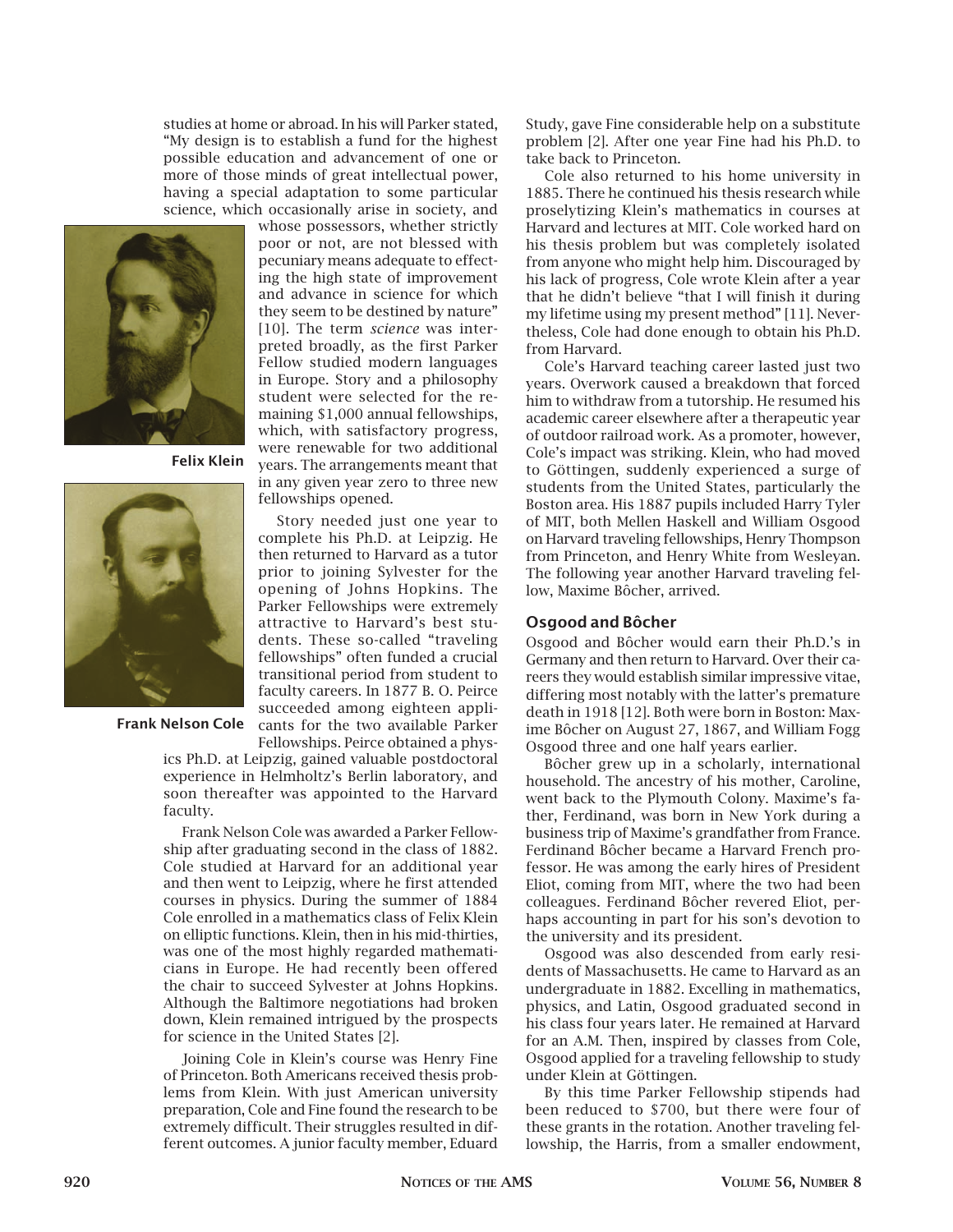studies at home or abroad. In his will Parker stated, "My design is to establish a fund for the highest possible education and advancement of one or more of those minds of great intellectual power, having a special adaptation to some particular science, which occasionally arise in society, and

> whose possessors, whether strictly poor or not, are not blessed with pecuniary means adequate to effecting the high state of improvement and advance in science for which they seem to be destined by nature" [10]. The term *science* was interpreted broadly, as the first Parker Fellow studied modern languages in Europe. Story and a philosophy student were selected for the remaining \$1,000 annual fellowships, which, with satisfactory progress, were renewable for two additional years. The arrangements meant that

Story needed just one year to



**Felix Klein**



**Frank Nelson Cole**

Fellowships. Peirce obtained a physics Ph.D. at Leipzig, gained valuable postdoctoral experience in Helmholtz's Berlin laboratory, and soon thereafter was appointed to the Harvard faculty.

Frank Nelson Cole was awarded a Parker Fellowship after graduating second in the class of 1882. Cole studied at Harvard for an additional year and then went to Leipzig, where he first attended courses in physics. During the summer of 1884 Cole enrolled in a mathematics class of Felix Klein on elliptic functions. Klein, then in his mid-thirties, was one of the most highly regarded mathematicians in Europe. He had recently been offered the chair to succeed Sylvester at Johns Hopkins. Although the Baltimore negotiations had broken down, Klein remained intrigued by the prospects for science in the United States [2].

Joining Cole in Klein's course was Henry Fine of Princeton. Both Americans received thesis problems from Klein. With just American university preparation, Cole and Fine found the research to be extremely difficult. Their struggles resulted in different outcomes. A junior faculty member, Eduard

Study, gave Fine considerable help on a substitute problem [2]. After one year Fine had his Ph.D. to take back to Princeton.

Cole also returned to his home university in 1885. There he continued his thesis research while proselytizing Klein's mathematics in courses at Harvard and lectures at MIT. Cole worked hard on his thesis problem but was completely isolated from anyone who might help him. Discouraged by his lack of progress, Cole wrote Klein after a year that he didn't believe "that I will finish it during my lifetime using my present method" [11]. Nevertheless, Cole had done enough to obtain his Ph.D. from Harvard.

Cole's Harvard teaching career lasted just two years. Overwork caused a breakdown that forced him to withdraw from a tutorship. He resumed his academic career elsewhere after a therapeutic year of outdoor railroad work. As a promoter, however, Cole's impact was striking. Klein, who had moved to Göttingen, suddenly experienced a surge of students from the United States, particularly the Boston area. His 1887 pupils included Harry Tyler of MIT, both Mellen Haskell and William Osgood on Harvard traveling fellowships, Henry Thompson from Princeton, and Henry White from Wesleyan. The following year another Harvard traveling fellow, Maxime Bôcher, arrived.

#### **Osgood and Bôcher**

Osgood and Bôcher would earn their Ph.D.'s in Germany and then return to Harvard. Over their careers they would establish similar impressive vitae, differing most notably with the latter's premature death in 1918 [12]. Both were born in Boston: Maxime Bôcher on August 27, 1867, and William Fogg Osgood three and one half years earlier.

Bôcher grew up in a scholarly, international household. The ancestry of his mother, Caroline, went back to the Plymouth Colony. Maxime's father, Ferdinand, was born in New York during a business trip of Maxime's grandfather from France. Ferdinand Bôcher became a Harvard French professor. He was among the early hires of President Eliot, coming from MIT, where the two had been colleagues. Ferdinand Bôcher revered Eliot, perhaps accounting in part for his son's devotion to the university and its president.

Osgood was also descended from early residents of Massachusetts. He came to Harvard as an undergraduate in 1882. Excelling in mathematics, physics, and Latin, Osgood graduated second in his class four years later. He remained at Harvard for an A.M. Then, inspired by classes from Cole, Osgood applied for a traveling fellowship to study under Klein at Göttingen.

By this time Parker Fellowship stipends had been reduced to \$700, but there were four of these grants in the rotation. Another traveling fellowship, the Harris, from a smaller endowment,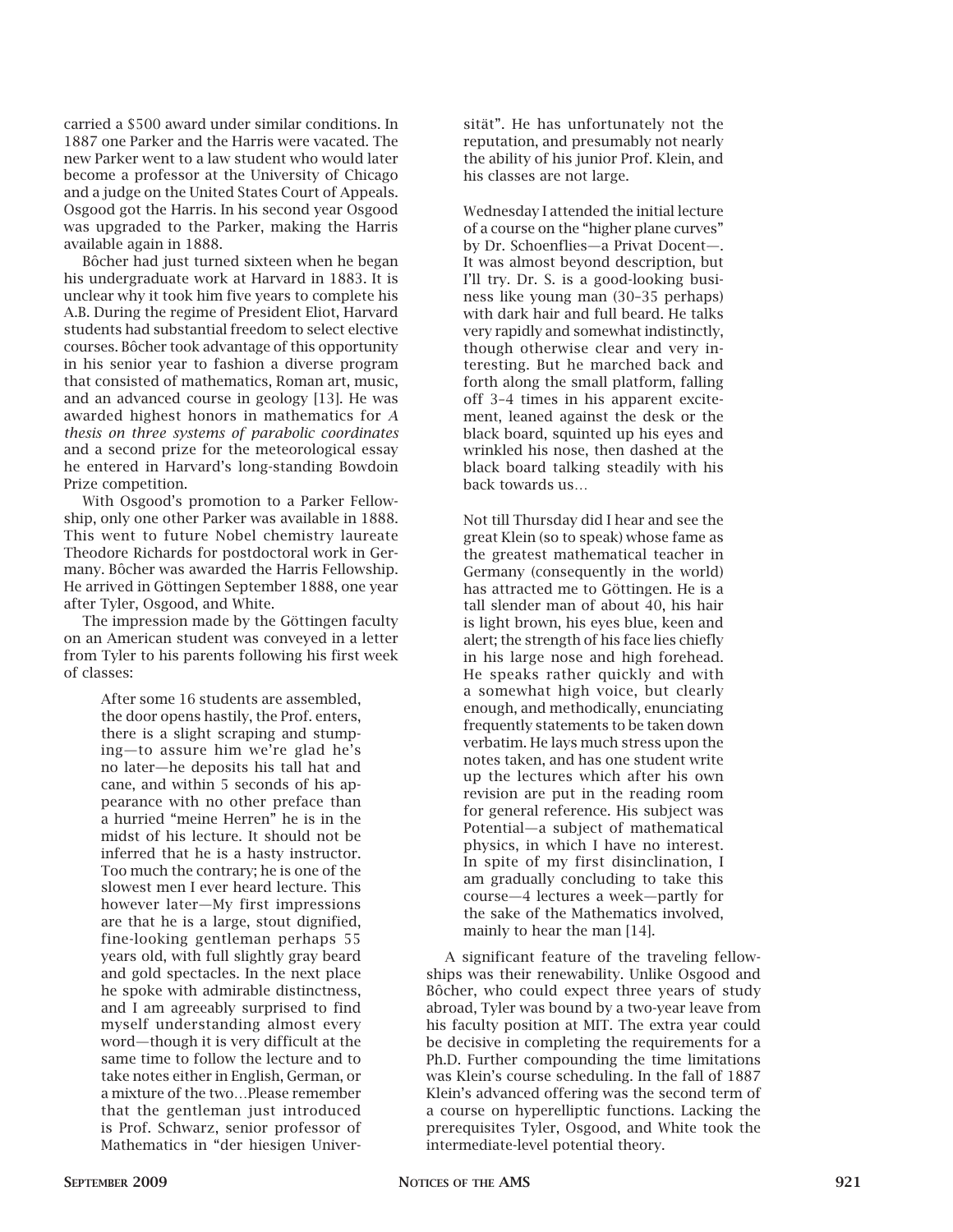carried a \$500 award under similar conditions. In 1887 one Parker and the Harris were vacated. The new Parker went to a law student who would later become a professor at the University of Chicago and a judge on the United States Court of Appeals. Osgood got the Harris. In his second year Osgood was upgraded to the Parker, making the Harris available again in 1888.

Bôcher had just turned sixteen when he began his undergraduate work at Harvard in 1883. It is unclear why it took him five years to complete his A.B. During the regime of President Eliot, Harvard students had substantial freedom to select elective courses. Bôcher took advantage of this opportunity in his senior year to fashion a diverse program that consisted of mathematics, Roman art, music, and an advanced course in geology [13]. He was awarded highest honors in mathematics for *A thesis on three systems of parabolic coordinates* and a second prize for the meteorological essay he entered in Harvard's long-standing Bowdoin Prize competition.

With Osgood's promotion to a Parker Fellowship, only one other Parker was available in 1888. This went to future Nobel chemistry laureate Theodore Richards for postdoctoral work in Germany. Bôcher was awarded the Harris Fellowship. He arrived in Göttingen September 1888, one year after Tyler, Osgood, and White.

The impression made by the Göttingen faculty on an American student was conveyed in a letter from Tyler to his parents following his first week of classes:

> After some 16 students are assembled, the door opens hastily, the Prof. enters, there is a slight scraping and stumping—to assure him we're glad he's no later—he deposits his tall hat and cane, and within 5 seconds of his appearance with no other preface than a hurried "meine Herren" he is in the midst of his lecture. It should not be inferred that he is a hasty instructor. Too much the contrary; he is one of the slowest men I ever heard lecture. This however later—My first impressions are that he is a large, stout dignified, fine-looking gentleman perhaps 55 years old, with full slightly gray beard and gold spectacles. In the next place he spoke with admirable distinctness, and I am agreeably surprised to find myself understanding almost every word—though it is very difficult at the same time to follow the lecture and to take notes either in English, German, or a mixture of the two…Please remember that the gentleman just introduced is Prof. Schwarz, senior professor of Mathematics in "der hiesigen Univer

sität". He has unfortunately not the reputation, and presumably not nearly the ability of his junior Prof. Klein, and his classes are not large.

Wednesday I attended the initial lecture of a course on the "higher plane curves" by Dr. Schoenflies—a Privat Docent—. It was almost beyond description, but I'll try. Dr. S. is a good-looking business like young man (30–35 perhaps) with dark hair and full beard. He talks very rapidly and somewhat indistinctly, though otherwise clear and very interesting. But he marched back and forth along the small platform, falling off 3–4 times in his apparent excitement, leaned against the desk or the black board, squinted up his eyes and wrinkled his nose, then dashed at the black board talking steadily with his back towards us…

Not till Thursday did I hear and see the great Klein (so to speak) whose fame as the greatest mathematical teacher in Germany (consequently in the world) has attracted me to Göttingen. He is a tall slender man of about 40, his hair is light brown, his eyes blue, keen and alert; the strength of his face lies chiefly in his large nose and high forehead. He speaks rather quickly and with a somewhat high voice, but clearly enough, and methodically, enunciating frequently statements to be taken down verbatim. He lays much stress upon the notes taken, and has one student write up the lectures which after his own revision are put in the reading room for general reference. His subject was Potential—a subject of mathematical physics, in which I have no interest. In spite of my first disinclination, I am gradually concluding to take this course—4 lectures a week—partly for the sake of the Mathematics involved, mainly to hear the man [14].

A significant feature of the traveling fellowships was their renewability. Unlike Osgood and Bôcher, who could expect three years of study abroad, Tyler was bound by a two-year leave from his faculty position at MIT. The extra year could be decisive in completing the requirements for a Ph.D. Further compounding the time limitations was Klein's course scheduling. In the fall of 1887 Klein's advanced offering was the second term of a course on hyperelliptic functions. Lacking the prerequisites Tyler, Osgood, and White took the intermediate-level potential theory.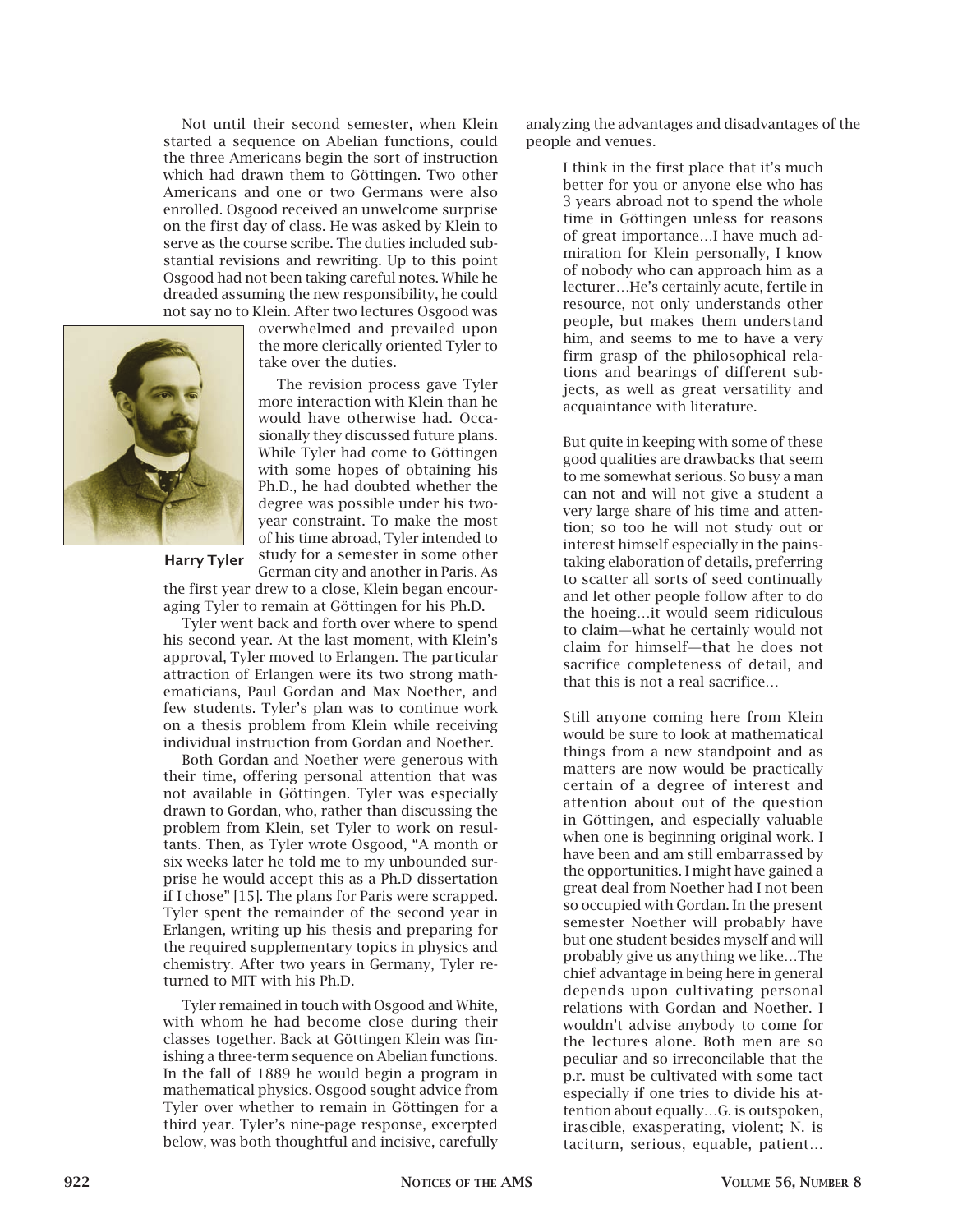Not until their second semester, when Klein started a sequence on Abelian functions, could the three Americans begin the sort of instruction which had drawn them to Göttingen. Two other Americans and one or two Germans were also enrolled. Osgood received an unwelcome surprise on the first day of class. He was asked by Klein to serve as the course scribe. The duties included substantial revisions and rewriting. Up to this point Osgood had not been taking careful notes. While he dreaded assuming the new responsibility, he could not say no to Klein. After two lectures Osgood was



overwhelmed and prevailed upon the more clerically oriented Tyler to take over the duties.

The revision process gave Tyler more interaction with Klein than he would have otherwise had. Occasionally they discussed future plans. While Tyler had come to Göttingen with some hopes of obtaining his Ph.D., he had doubted whether the degree was possible under his twoyear constraint. To make the most of his time abroad, Tyler intended to study for a semester in some other

German city and another in Paris. As

the first year drew to a close, Klein began encouraging Tyler to remain at Göttingen for his Ph.D.

Tyler went back and forth over where to spend his second year. At the last moment, with Klein's approval, Tyler moved to Erlangen. The particular attraction of Erlangen were its two strong mathematicians, Paul Gordan and Max Noether, and few students. Tyler's plan was to continue work on a thesis problem from Klein while receiving individual instruction from Gordan and Noether.

Both Gordan and Noether were generous with their time, offering personal attention that was not available in Göttingen. Tyler was especially drawn to Gordan, who, rather than discussing the problem from Klein, set Tyler to work on resultants. Then, as Tyler wrote Osgood, "A month or six weeks later he told me to my unbounded surprise he would accept this as a Ph.D dissertation if I chose" [15]. The plans for Paris were scrapped. Tyler spent the remainder of the second year in Erlangen, writing up his thesis and preparing for the required supplementary topics in physics and chemistry. After two years in Germany, Tyler returned to MIT with his Ph.D.

Tyler remained in touch with Osgood and White, with whom he had become close during their classes together. Back at Göttingen Klein was finishing a three-term sequence on Abelian functions. In the fall of 1889 he would begin a program in mathematical physics. Osgood sought advice from Tyler over whether to remain in Göttingen for a third year. Tyler's nine-page response, excerpted below, was both thoughtful and incisive, carefully

analyzing the advantages and disadvantages of the people and venues.

> I think in the first place that it's much better for you or anyone else who has 3 years abroad not to spend the whole time in Göttingen unless for reasons of great importance…I have much admiration for Klein personally, I know of nobody who can approach him as a lecturer…He's certainly acute, fertile in resource, not only understands other people, but makes them understand him, and seems to me to have a very firm grasp of the philosophical relations and bearings of different subjects, as well as great versatility and acquaintance with literature.

> But quite in keeping with some of these good qualities are drawbacks that seem to me somewhat serious. So busy a man can not and will not give a student a very large share of his time and attention; so too he will not study out or interest himself especially in the painstaking elaboration of details, preferring to scatter all sorts of seed continually and let other people follow after to do the hoeing…it would seem ridiculous to claim—what he certainly would not claim for himself—that he does not sacrifice completeness of detail, and that this is not a real sacrifice…

> Still anyone coming here from Klein would be sure to look at mathematical things from a new standpoint and as matters are now would be practically certain of a degree of interest and attention about out of the question in Göttingen, and especially valuable when one is beginning original work. I have been and am still embarrassed by the opportunities. I might have gained a great deal from Noether had I not been so occupied with Gordan. In the present semester Noether will probably have but one student besides myself and will probably give us anything we like…The chief advantage in being here in general depends upon cultivating personal relations with Gordan and Noether. I wouldn't advise anybody to come for the lectures alone. Both men are so peculiar and so irreconcilable that the p.r. must be cultivated with some tact especially if one tries to divide his attention about equally…G. is outspoken, irascible, exasperating, violent; N. is taciturn, serious, equable, patient…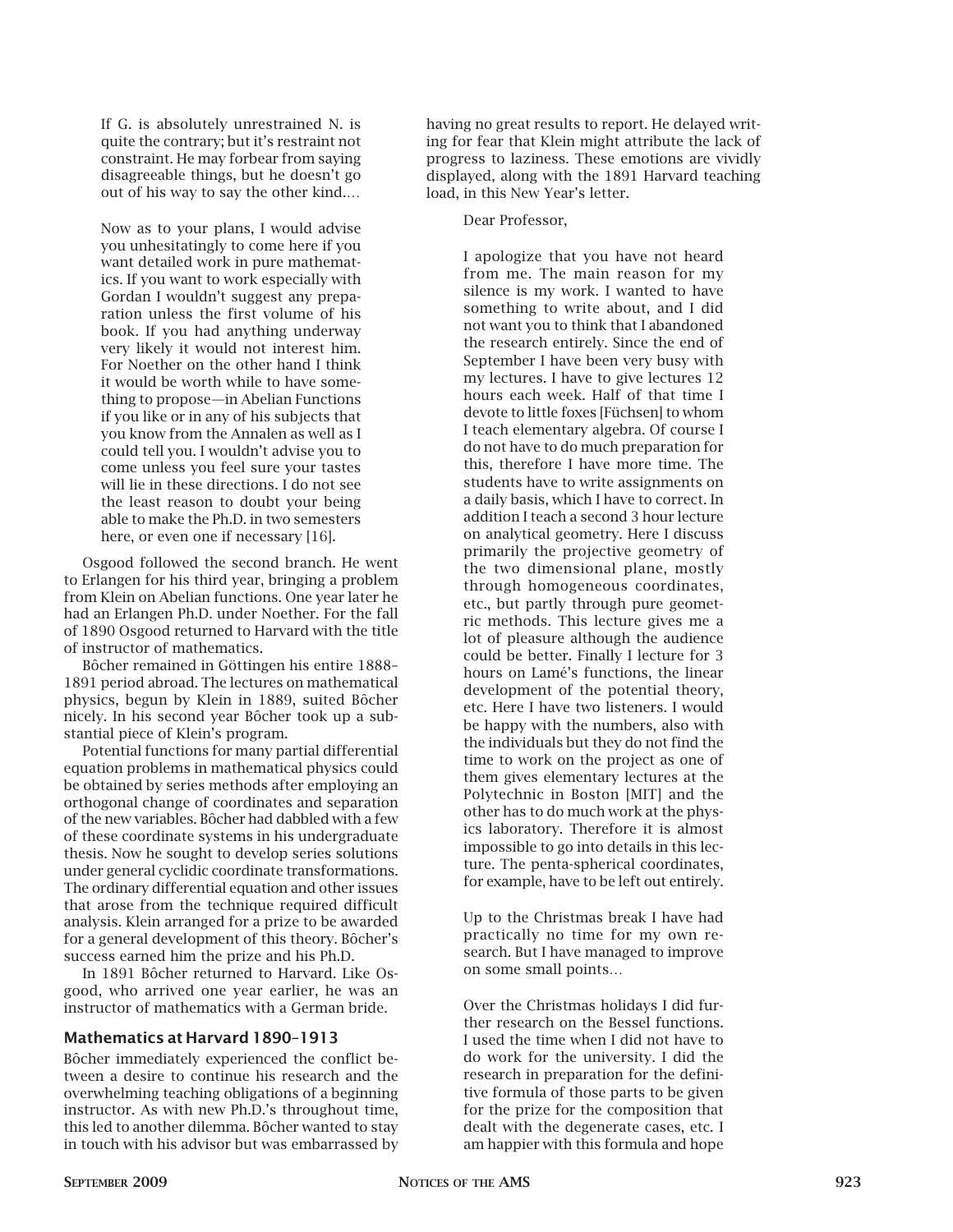If G. is absolutely unrestrained N. is quite the contrary; but it's restraint not constraint. He may forbear from saying disagreeable things, but he doesn't go out of his way to say the other kind.…

Now as to your plans, I would advise you unhesitatingly to come here if you want detailed work in pure mathematics. If you want to work especially with Gordan I wouldn't suggest any preparation unless the first volume of his book. If you had anything underway very likely it would not interest him. For Noether on the other hand I think it would be worth while to have something to propose—in Abelian Functions if you like or in any of his subjects that you know from the Annalen as well as I could tell you. I wouldn't advise you to come unless you feel sure your tastes will lie in these directions. I do not see the least reason to doubt your being able to make the Ph.D. in two semesters here, or even one if necessary [16].

Osgood followed the second branch. He went to Erlangen for his third year, bringing a problem from Klein on Abelian functions. One year later he had an Erlangen Ph.D. under Noether. For the fall of 1890 Osgood returned to Harvard with the title of instructor of mathematics.

Bôcher remained in Göttingen his entire 1888– 1891 period abroad. The lectures on mathematical physics, begun by Klein in 1889, suited Bôcher nicely. In his second year Bôcher took up a substantial piece of Klein's program.

Potential functions for many partial differential equation problems in mathematical physics could be obtained by series methods after employing an orthogonal change of coordinates and separation of the new variables. Bôcher had dabbled with a few of these coordinate systems in his undergraduate thesis. Now he sought to develop series solutions under general cyclidic coordinate transformations. The ordinary differential equation and other issues that arose from the technique required difficult analysis. Klein arranged for a prize to be awarded for a general development of this theory. Bôcher's success earned him the prize and his Ph.D.

In 1891 Bôcher returned to Harvard. Like Osgood, who arrived one year earlier, he was an instructor of mathematics with a German bride.

#### **Mathematics at Harvard 1890–1913**

Bôcher immediately experienced the conflict between a desire to continue his research and the overwhelming teaching obligations of a beginning instructor. As with new Ph.D.'s throughout time, this led to another dilemma. Bôcher wanted to stay in touch with his advisor but was embarrassed by

having no great results to report. He delayed writing for fear that Klein might attribute the lack of progress to laziness. These emotions are vividly displayed, along with the 1891 Harvard teaching load, in this New Year's letter.

Dear Professor,

I apologize that you have not heard from me. The main reason for my silence is my work. I wanted to have something to write about, and I did not want you to think that I abandoned the research entirely. Since the end of September I have been very busy with my lectures. I have to give lectures 12 hours each week. Half of that time I devote to little foxes [Füchsen] to whom I teach elementary algebra. Of course I do not have to do much preparation for this, therefore I have more time. The students have to write assignments on a daily basis, which I have to correct. In addition I teach a second 3 hour lecture on analytical geometry. Here I discuss primarily the projective geometry of the two dimensional plane, mostly through homogeneous coordinates, etc., but partly through pure geometric methods. This lecture gives me a lot of pleasure although the audience could be better. Finally I lecture for 3 hours on Lamé's functions, the linear development of the potential theory, etc. Here I have two listeners. I would be happy with the numbers, also with the individuals but they do not find the time to work on the project as one of them gives elementary lectures at the Polytechnic in Boston [MIT] and the other has to do much work at the physics laboratory. Therefore it is almost impossible to go into details in this lecture. The penta-spherical coordinates, for example, have to be left out entirely.

Up to the Christmas break I have had practically no time for my own research. But I have managed to improve on some small points…

Over the Christmas holidays I did further research on the Bessel functions. I used the time when I did not have to do work for the university. I did the research in preparation for the definitive formula of those parts to be given for the prize for the composition that dealt with the degenerate cases, etc. I am happier with this formula and hope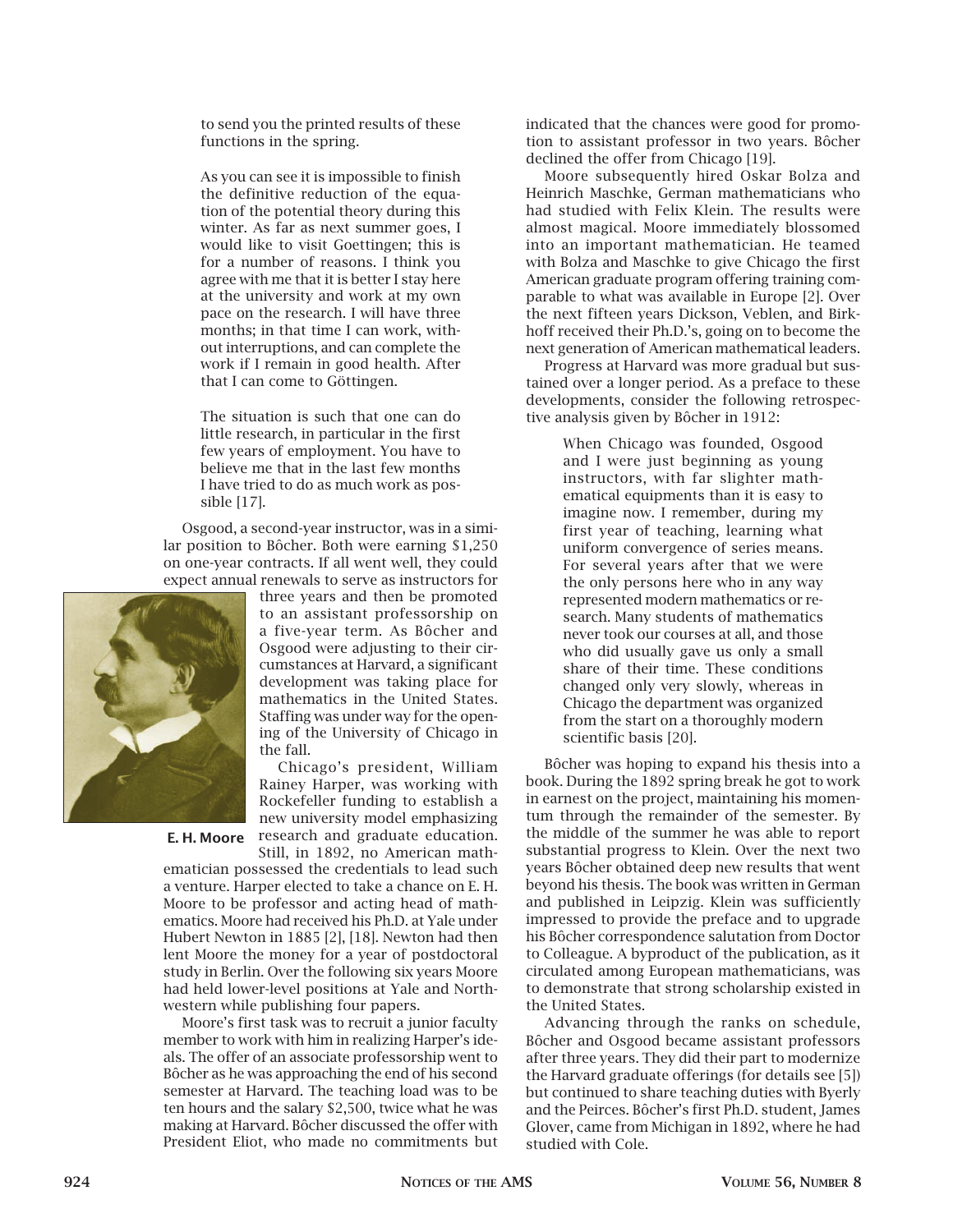to send you the printed results of these functions in the spring.

As you can see it is impossible to finish the definitive reduction of the equation of the potential theory during this winter. As far as next summer goes, I would like to visit Goettingen; this is for a number of reasons. I think you agree with me that it is better I stay here at the university and work at my own pace on the research. I will have three months; in that time I can work, without interruptions, and can complete the work if I remain in good health. After that I can come to Göttingen.

The situation is such that one can do little research, in particular in the first few years of employment. You have to believe me that in the last few months I have tried to do as much work as possible [17].

Osgood, a second-year instructor, was in a similar position to Bôcher. Both were earning \$1,250 on one-year contracts. If all went well, they could expect annual renewals to serve as instructors for



three years and then be promoted to an assistant professorship on a five-year term. As Bôcher and Osgood were adjusting to their circumstances at Harvard, a significant development was taking place for mathematics in the United States. Staffing was under way for the opening of the University of Chicago in the fall.

Chicago's president, William Rainey Harper, was working with Rockefeller funding to establish a new university model emphasizing research and graduate education. Still, in 1892, no American math-**E. H. Moore**

ematician possessed the credentials to lead such a venture. Harper elected to take a chance on E. H. Moore to be professor and acting head of mathematics. Moore had received his Ph.D. at Yale under Hubert Newton in 1885 [2], [18]. Newton had then lent Moore the money for a year of postdoctoral study in Berlin. Over the following six years Moore had held lower-level positions at Yale and Northwestern while publishing four papers.

Moore's first task was to recruit a junior faculty member to work with him in realizing Harper's ideals. The offer of an associate professorship went to Bôcher as he was approaching the end of his second semester at Harvard. The teaching load was to be ten hours and the salary \$2,500, twice what he was making at Harvard. Bôcher discussed the offer with President Eliot, who made no commitments but

indicated that the chances were good for promotion to assistant professor in two years. Bôcher declined the offer from Chicago [19].

Moore subsequently hired Oskar Bolza and Heinrich Maschke, German mathematicians who had studied with Felix Klein. The results were almost magical. Moore immediately blossomed into an important mathematician. He teamed with Bolza and Maschke to give Chicago the first American graduate program offering training comparable to what was available in Europe [2]. Over the next fifteen years Dickson, Veblen, and Birkhoff received their Ph.D.'s, going on to become the next generation of American mathematical leaders.

Progress at Harvard was more gradual but sustained over a longer period. As a preface to these developments, consider the following retrospective analysis given by Bôcher in 1912:

> When Chicago was founded, Osgood and I were just beginning as young instructors, with far slighter mathematical equipments than it is easy to imagine now. I remember, during my first year of teaching, learning what uniform convergence of series means. For several years after that we were the only persons here who in any way represented modern mathematics or research. Many students of mathematics never took our courses at all, and those who did usually gave us only a small share of their time. These conditions changed only very slowly, whereas in Chicago the department was organized from the start on a thoroughly modern scientific basis [20].

Bôcher was hoping to expand his thesis into a book. During the 1892 spring break he got to work in earnest on the project, maintaining his momentum through the remainder of the semester. By the middle of the summer he was able to report substantial progress to Klein. Over the next two years Bôcher obtained deep new results that went beyond his thesis. The book was written in German and published in Leipzig. Klein was sufficiently impressed to provide the preface and to upgrade his Bôcher correspondence salutation from Doctor to Colleague. A byproduct of the publication, as it circulated among European mathematicians, was to demonstrate that strong scholarship existed in the United States.

Advancing through the ranks on schedule, Bôcher and Osgood became assistant professors after three years. They did their part to modernize the Harvard graduate offerings (for details see [5]) but continued to share teaching duties with Byerly and the Peirces. Bôcher's first Ph.D. student, James Glover, came from Michigan in 1892, where he had studied with Cole.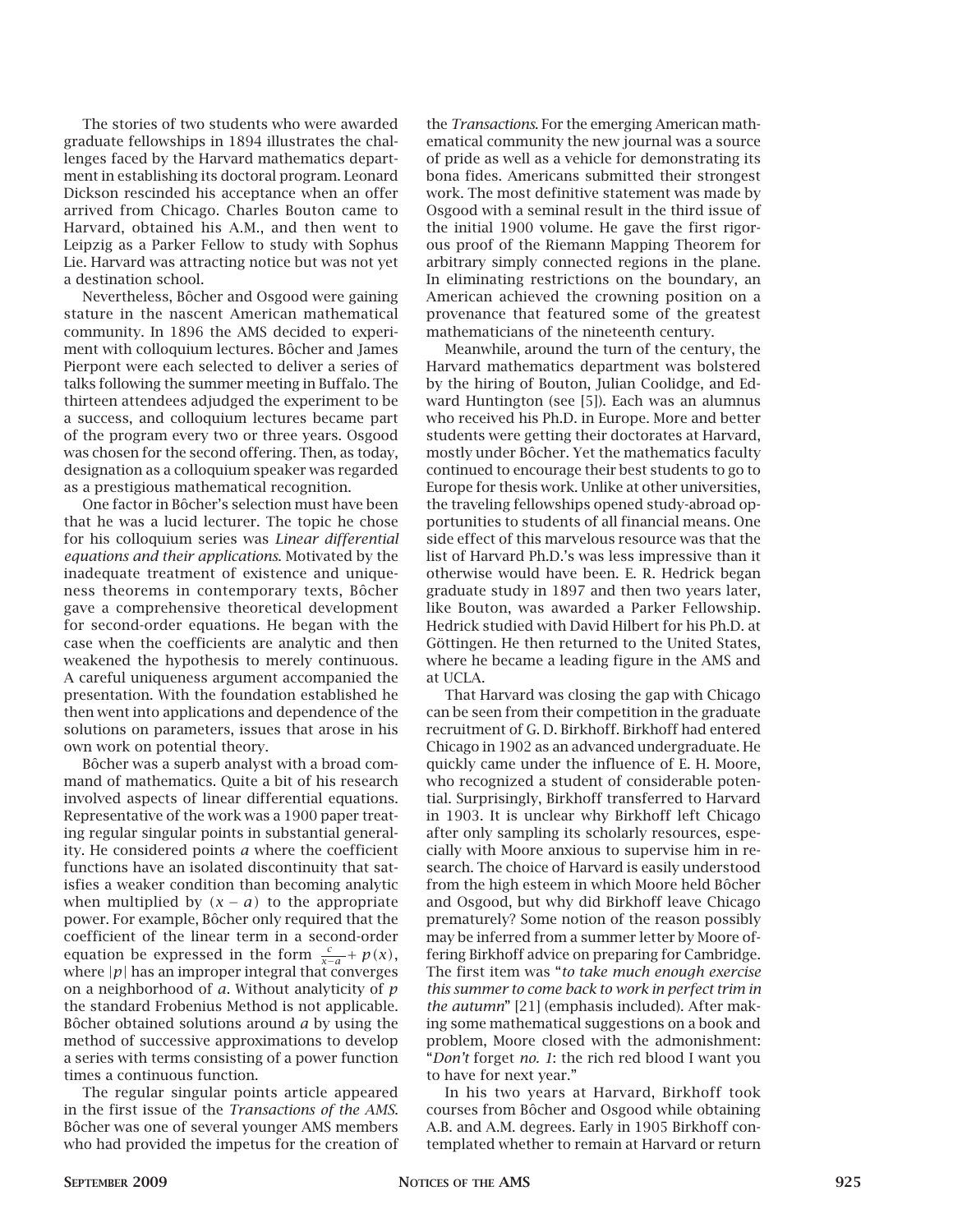The stories of two students who were awarded graduate fellowships in 1894 illustrates the challenges faced by the Harvard mathematics department in establishing its doctoral program. Leonard Dickson rescinded his acceptance when an offer arrived from Chicago. Charles Bouton came to Harvard, obtained his A.M., and then went to Leipzig as a Parker Fellow to study with Sophus Lie. Harvard was attracting notice but was not yet a destination school.

Nevertheless, Bôcher and Osgood were gaining stature in the nascent American mathematical community. In 1896 the AMS decided to experiment with colloquium lectures. Bôcher and James Pierpont were each selected to deliver a series of talks following the summer meeting in Buffalo. The thirteen attendees adjudged the experiment to be a success, and colloquium lectures became part of the program every two or three years. Osgood was chosen for the second offering. Then, as today, designation as a colloquium speaker was regarded as a prestigious mathematical recognition.

One factor in Bôcher's selection must have been that he was a lucid lecturer. The topic he chose for his colloquium series was *Linear differential equations and their applications*. Motivated by the inadequate treatment of existence and uniqueness theorems in contemporary texts, Bôcher gave a comprehensive theoretical development for second-order equations. He began with the case when the coefficients are analytic and then weakened the hypothesis to merely continuous. A careful uniqueness argument accompanied the presentation. With the foundation established he then went into applications and dependence of the solutions on parameters, issues that arose in his own work on potential theory.

Bôcher was a superb analyst with a broad command of mathematics. Quite a bit of his research involved aspects of linear differential equations. Representative of the work was a 1900 paper treating regular singular points in substantial generality. He considered points *a* where the coefficient functions have an isolated discontinuity that satisfies a weaker condition than becoming analytic when multiplied by  $(x - a)$  to the appropriate power. For example, Bôcher only required that the coefficient of the linear term in a second-order equation be expressed in the form  $\frac{c}{x-a}$  + *p*(*x*), where  $|p|$  has an improper integral that converges on a neighborhood of *a*. Without analyticity of *p* the standard Frobenius Method is not applicable. Bôcher obtained solutions around *a* by using the method of successive approximations to develop a series with terms consisting of a power function times a continuous function.

The regular singular points article appeared in the first issue of the *Transactions of the AMS*. Bôcher was one of several younger AMS members who had provided the impetus for the creation of the *Transactions*. For the emerging American mathematical community the new journal was a source of pride as well as a vehicle for demonstrating its bona fides. Americans submitted their strongest work. The most definitive statement was made by Osgood with a seminal result in the third issue of the initial 1900 volume. He gave the first rigorous proof of the Riemann Mapping Theorem for arbitrary simply connected regions in the plane. In eliminating restrictions on the boundary, an American achieved the crowning position on a provenance that featured some of the greatest mathematicians of the nineteenth century.

Meanwhile, around the turn of the century, the Harvard mathematics department was bolstered by the hiring of Bouton, Julian Coolidge, and Edward Huntington (see [5]). Each was an alumnus who received his Ph.D. in Europe. More and better students were getting their doctorates at Harvard, mostly under Bôcher. Yet the mathematics faculty continued to encourage their best students to go to Europe for thesis work. Unlike at other universities, the traveling fellowships opened study-abroad opportunities to students of all financial means. One side effect of this marvelous resource was that the list of Harvard Ph.D.'s was less impressive than it otherwise would have been. E. R. Hedrick began graduate study in 1897 and then two years later, like Bouton, was awarded a Parker Fellowship. Hedrick studied with David Hilbert for his Ph.D. at Göttingen. He then returned to the United States, where he became a leading figure in the AMS and at UCLA.

That Harvard was closing the gap with Chicago can be seen from their competition in the graduate recruitment of G. D. Birkhoff. Birkhoff had entered Chicago in 1902 as an advanced undergraduate. He quickly came under the influence of E. H. Moore, who recognized a student of considerable potential. Surprisingly, Birkhoff transferred to Harvard in 1903. It is unclear why Birkhoff left Chicago after only sampling its scholarly resources, especially with Moore anxious to supervise him in research. The choice of Harvard is easily understood from the high esteem in which Moore held Bôcher and Osgood, but why did Birkhoff leave Chicago prematurely? Some notion of the reason possibly may be inferred from a summer letter by Moore offering Birkhoff advice on preparing for Cambridge. The first item was "*to take much enough exercise this summer to come back to work in perfect trim in the autumn*" [21] (emphasis included). After making some mathematical suggestions on a book and problem, Moore closed with the admonishment: "*Don't* forget *no. 1*: the rich red blood I want you to have for next year."

In his two years at Harvard, Birkhoff took courses from Bôcher and Osgood while obtaining A.B. and A.M. degrees. Early in 1905 Birkhoff contemplated whether to remain at Harvard or return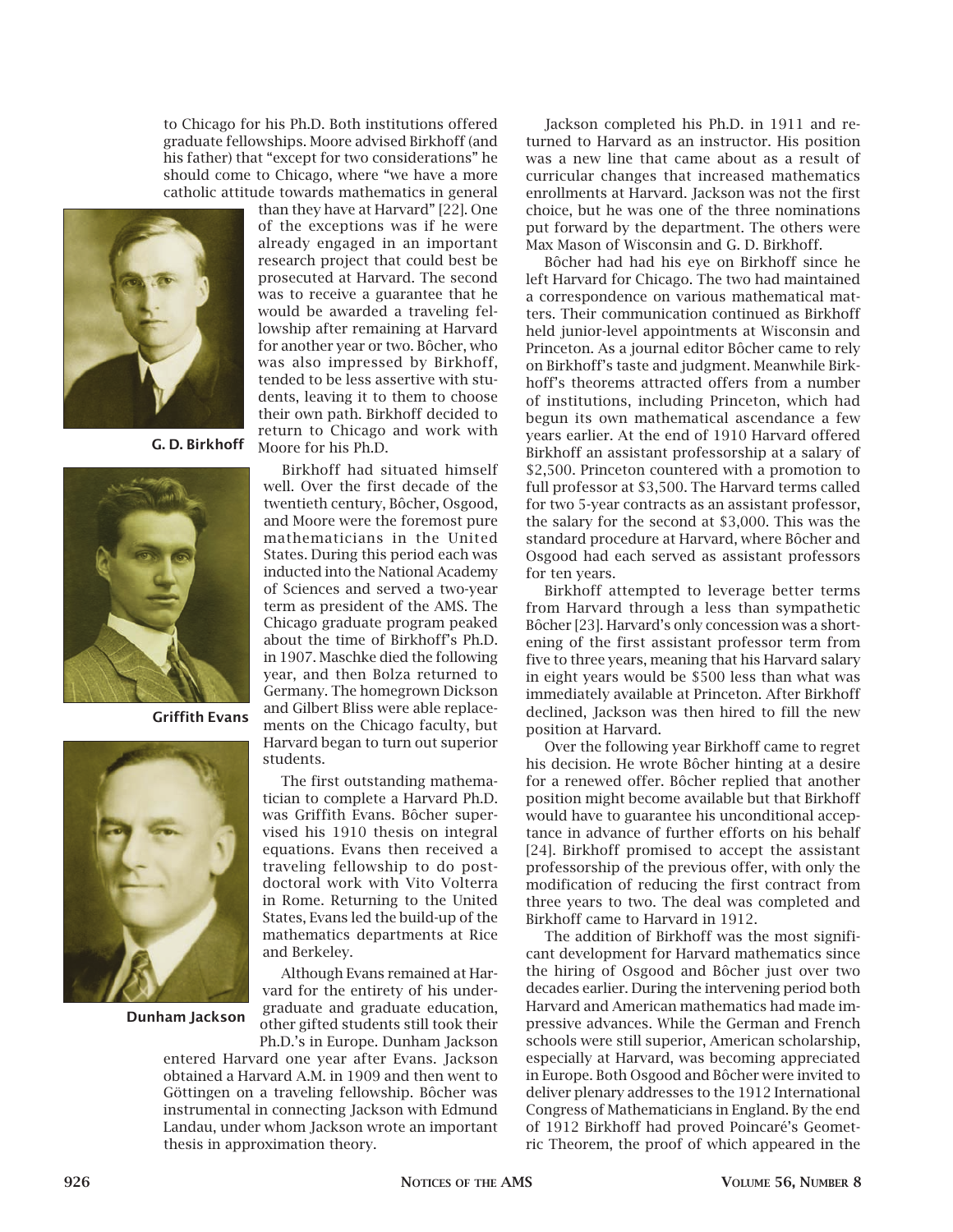to Chicago for his Ph.D. Both institutions offered graduate fellowships. Moore advised Birkhoff (and his father) that "except for two considerations" he should come to Chicago, where "we have a more catholic attitude towards mathematics in general



**G. D. Birkhoff**



**Griffith Evans**



**Dunham Jackson**

than they have at Harvard" [22]. One of the exceptions was if he were already engaged in an important research project that could best be prosecuted at Harvard. The second was to receive a guarantee that he would be awarded a traveling fellowship after remaining at Harvard for another year or two. Bôcher, who was also impressed by Birkhoff, tended to be less assertive with students, leaving it to them to choose their own path. Birkhoff decided to return to Chicago and work with Moore for his Ph.D.

Birkhoff had situated himself well. Over the first decade of the twentieth century, Bôcher, Osgood, and Moore were the foremost pure mathematicians in the United States. During this period each was inducted into the National Academy of Sciences and served a two-year term as president of the AMS. The Chicago graduate program peaked about the time of Birkhoff's Ph.D. in 1907. Maschke died the following year, and then Bolza returned to Germany. The homegrown Dickson and Gilbert Bliss were able replacements on the Chicago faculty, but Harvard began to turn out superior students.

The first outstanding mathematician to complete a Harvard Ph.D. was Griffith Evans. Bôcher supervised his 1910 thesis on integral equations. Evans then received a traveling fellowship to do postdoctoral work with Vito Volterra in Rome. Returning to the United States, Evans led the build-up of the mathematics departments at Rice and Berkeley.

Although Evans remained at Harvard for the entirety of his undergraduate and graduate education, other gifted students still took their Ph.D.'s in Europe. Dunham Jackson

entered Harvard one year after Evans. Jackson obtained a Harvard A.M. in 1909 and then went to Göttingen on a traveling fellowship. Bôcher was instrumental in connecting Jackson with Edmund Landau, under whom Jackson wrote an important thesis in approximation theory.

Jackson completed his Ph.D. in 1911 and returned to Harvard as an instructor. His position was a new line that came about as a result of curricular changes that increased mathematics enrollments at Harvard. Jackson was not the first choice, but he was one of the three nominations put forward by the department. The others were Max Mason of Wisconsin and G. D. Birkhoff.

Bôcher had had his eye on Birkhoff since he left Harvard for Chicago. The two had maintained a correspondence on various mathematical matters. Their communication continued as Birkhoff held junior-level appointments at Wisconsin and Princeton. As a journal editor Bôcher came to rely on Birkhoff's taste and judgment. Meanwhile Birkhoff's theorems attracted offers from a number of institutions, including Princeton, which had begun its own mathematical ascendance a few years earlier. At the end of 1910 Harvard offered Birkhoff an assistant professorship at a salary of \$2,500. Princeton countered with a promotion to full professor at \$3,500. The Harvard terms called for two 5-year contracts as an assistant professor, the salary for the second at \$3,000. This was the standard procedure at Harvard, where Bôcher and Osgood had each served as assistant professors for ten years.

Birkhoff attempted to leverage better terms from Harvard through a less than sympathetic Bôcher [23]. Harvard's only concession was a shortening of the first assistant professor term from five to three years, meaning that his Harvard salary in eight years would be \$500 less than what was immediately available at Princeton. After Birkhoff declined, Jackson was then hired to fill the new position at Harvard.

Over the following year Birkhoff came to regret his decision. He wrote Bôcher hinting at a desire for a renewed offer. Bôcher replied that another position might become available but that Birkhoff would have to guarantee his unconditional acceptance in advance of further efforts on his behalf [24]. Birkhoff promised to accept the assistant professorship of the previous offer, with only the modification of reducing the first contract from three years to two. The deal was completed and Birkhoff came to Harvard in 1912.

The addition of Birkhoff was the most significant development for Harvard mathematics since the hiring of Osgood and Bôcher just over two decades earlier. During the intervening period both Harvard and American mathematics had made impressive advances. While the German and French schools were still superior, American scholarship, especially at Harvard, was becoming appreciated in Europe. Both Osgood and Bôcher were invited to deliver plenary addresses to the 1912 International Congress of Mathematicians in England. By the end of 1912 Birkhoff had proved Poincaré's Geometric Theorem, the proof of which appeared in the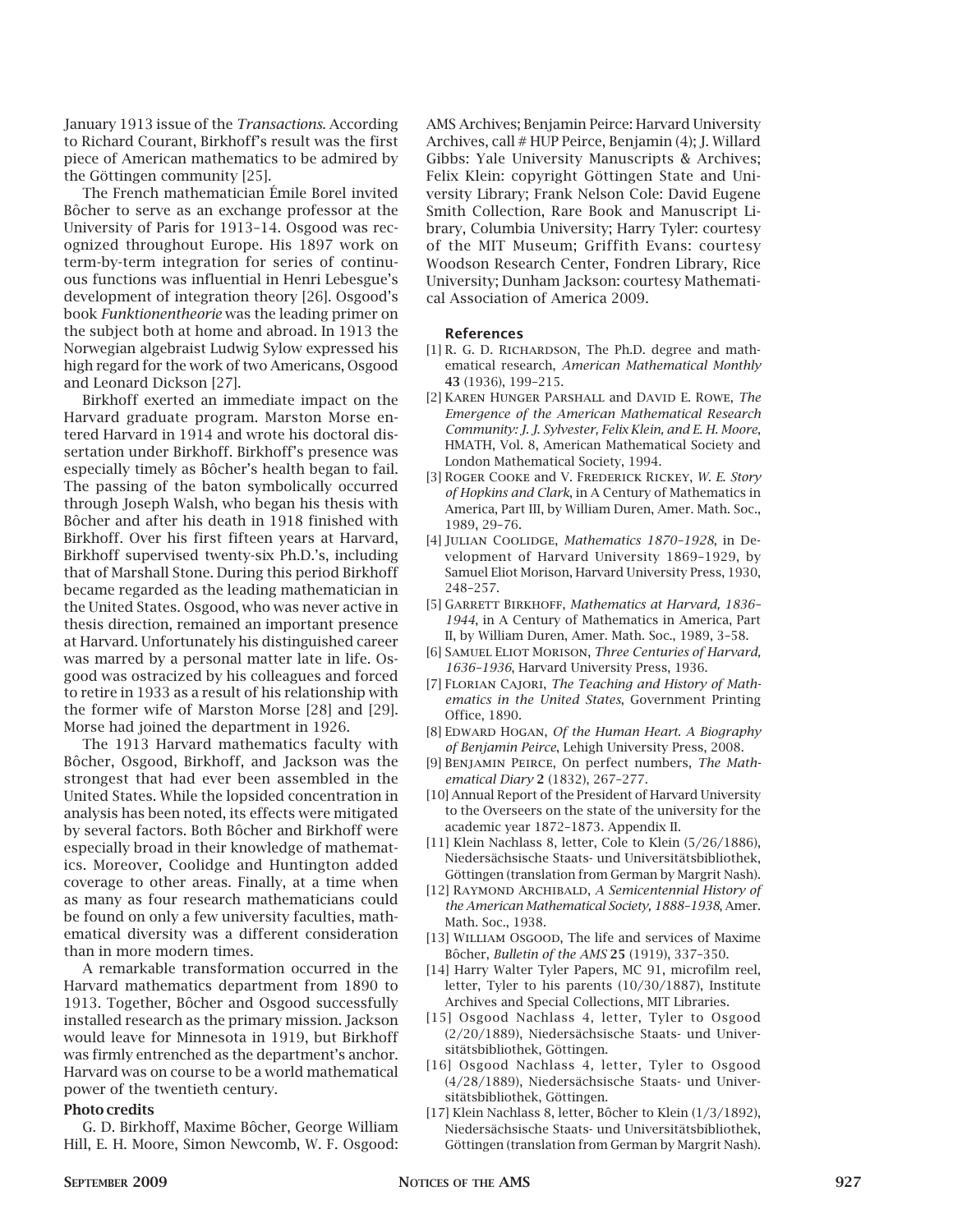January 1913 issue of the *Transactions*. According to Richard Courant, Birkhoff's result was the first piece of American mathematics to be admired by the Göttingen community [25].

The French mathematician Émile Borel invited Bôcher to serve as an exchange professor at the University of Paris for 1913–14. Osgood was recognized throughout Europe. His 1897 work on term-by-term integration for series of continuous functions was influential in Henri Lebesgue's development of integration theory [26]. Osgood's book *Funktionentheorie* was the leading primer on the subject both at home and abroad. In 1913 the Norwegian algebraist Ludwig Sylow expressed his high regard for the work of two Americans, Osgood and Leonard Dickson [27].

Birkhoff exerted an immediate impact on the Harvard graduate program. Marston Morse entered Harvard in 1914 and wrote his doctoral dissertation under Birkhoff. Birkhoff's presence was especially timely as Bôcher's health began to fail. The passing of the baton symbolically occurred through Joseph Walsh, who began his thesis with Bôcher and after his death in 1918 finished with Birkhoff. Over his first fifteen years at Harvard, Birkhoff supervised twenty-six Ph.D.'s, including that of Marshall Stone. During this period Birkhoff became regarded as the leading mathematician in the United States. Osgood, who was never active in thesis direction, remained an important presence at Harvard. Unfortunately his distinguished career was marred by a personal matter late in life. Osgood was ostracized by his colleagues and forced to retire in 1933 as a result of his relationship with the former wife of Marston Morse [28] and [29]. Morse had joined the department in 1926.

The 1913 Harvard mathematics faculty with Bôcher, Osgood, Birkhoff, and Jackson was the strongest that had ever been assembled in the United States. While the lopsided concentration in analysis has been noted, its effects were mitigated by several factors. Both Bôcher and Birkhoff were especially broad in their knowledge of mathematics. Moreover, Coolidge and Huntington added coverage to other areas. Finally, at a time when as many as four research mathematicians could be found on only a few university faculties, mathematical diversity was a different consideration than in more modern times.

A remarkable transformation occurred in the Harvard mathematics department from 1890 to 1913. Together, Bôcher and Osgood successfully installed research as the primary mission. Jackson would leave for Minnesota in 1919, but Birkhoff was firmly entrenched as the department's anchor. Harvard was on course to be a world mathematical power of the twentieth century.

#### **Photo credits**

G. D. Birkhoff, Maxime Bôcher, George William Hill, E. H. Moore, Simon Newcomb, W. F. Osgood: AMS Archives; Benjamin Peirce: Harvard University Archives, call # HUP Peirce, Benjamin (4); J. Willard Gibbs: Yale University Manuscripts & Archives; Felix Klein: copyright Göttingen State and University Library; Frank Nelson Cole: David Eugene Smith Collection, Rare Book and Manuscript Library, Columbia University; Harry Tyler: courtesy of the MIT Museum; Griffith Evans: courtesy Woodson Research Center, Fondren Library, Rice University; Dunham Jackson: courtesy Mathematical Association of America 2009.

#### **References**

- [1] R. G. D. RICHARDSON, The Ph.D. degree and mathematical research, *American Mathematical Monthly*  **43** (1936), 199–215.
- [2] Karen Hunger Parshall and David E. Rowe, *The Emergence of the American Mathematical Research Community: J. J. Sylvester, Felix Klein, and E. H. Moore*, HMATH, Vol. 8, American Mathematical Society and London Mathematical Society, 1994.
- [3] Roger Cooke and V. Frederick Rickey, *W. E. Story of Hopkins and Clark*, in A Century of Mathematics in America, Part III, by William Duren, Amer. Math. Soc., 1989, 29–76.
- [4] Julian Coolidge, *Mathematics 1870–1928*, in Development of Harvard University 1869–1929, by Samuel Eliot Morison, Harvard University Press, 1930, 248–257.
- [5] Garrett Birkhoff, *Mathematics at Harvard, 1836– 1944*, in A Century of Mathematics in America, Part II, by William Duren, Amer. Math. Soc., 1989, 3–58.
- [6] Samuel Eliot Morison, *Three Centuries of Harvard, 1636–1936*, Harvard University Press, 1936.
- [7] Florian Cajori, *The Teaching and History of Mathematics in the United States*, Government Printing Office, 1890.
- [8] Edward Hogan, *Of the Human Heart. A Biography of Benjamin Peirce*, Lehigh University Press, 2008.
- [9] Benjamin Peirce, On perfect numbers, *The Mathematical Diary* **2** (1832), 267–277.
- [10] Annual Report of the President of Harvard University to the Overseers on the state of the university for the academic year 1872–1873. Appendix II.
- [11] Klein Nachlass 8, letter, Cole to Klein (5/26/1886), Niedersächsische Staats- und Universitätsbibliothek, Göttingen (translation from German by Margrit Nash).
- [12] Raymond Archibald, *A Semicentennial History of the American Mathematical Society, 1888–1938*, Amer. Math. Soc., 1938.
- [13] WILLIAM OSGOOD, The life and services of Maxime Bôcher, *Bulletin of the AMS* **25** (1919), 337–350.
- [14] Harry Walter Tyler Papers, MC 91, microfilm reel, letter, Tyler to his parents (10/30/1887), Institute Archives and Special Collections, MIT Libraries.
- [15] Osgood Nachlass 4, letter, Tyler to Osgood (2/20/1889), Niedersächsische Staats- und Universitätsbibliothek, Göttingen.
- [16] Osgood Nachlass 4, letter, Tyler to Osgood (4/28/1889), Niedersächsische Staats- und Universitätsbibliothek, Göttingen.
- [17] Klein Nachlass 8, letter, Bôcher to Klein (1/3/1892), Niedersächsische Staats- und Universitätsbibliothek, Göttingen (translation from German by Margrit Nash).